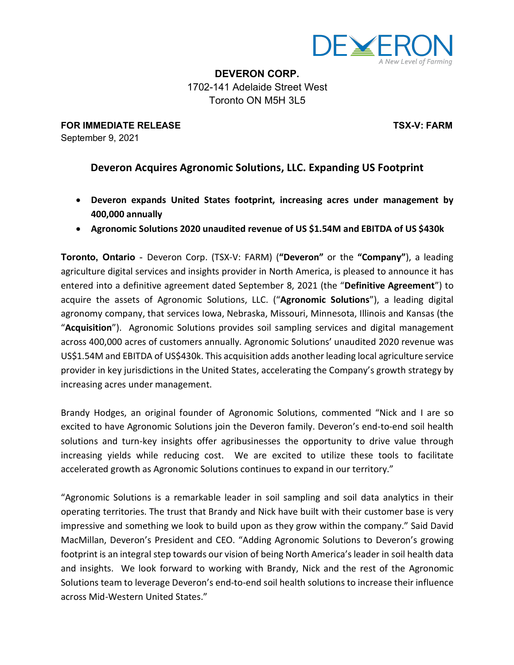

**DEVERON CORP.** 1702-141 Adelaide Street West Toronto ON M5H 3L5

**FOR IMMEDIATE RELEASE TSX-V: FARM** September 9, 2021

## **Deveron Acquires Agronomic Solutions, LLC. Expanding US Footprint**

- **Deveron expands United States footprint, increasing acres under management by 400,000 annually**
- **Agronomic Solutions 2020 unaudited revenue of US \$1.54M and EBITDA of US \$430k**

**Toronto, Ontario** - Deveron Corp. (TSX-V: FARM) (**"Deveron"** or the **"Company"**), a leading agriculture digital services and insights provider in North America, is pleased to announce it has entered into a definitive agreement dated September 8, 2021 (the "**Definitive Agreement**") to acquire the assets of Agronomic Solutions, LLC. ("**Agronomic Solutions**"), a leading digital agronomy company, that services Iowa, Nebraska, Missouri, Minnesota, Illinois and Kansas (the "**Acquisition**"). Agronomic Solutions provides soil sampling services and digital management across 400,000 acres of customers annually. Agronomic Solutions' unaudited 2020 revenue was US\$1.54M and EBITDA of US\$430k. This acquisition adds another leading local agriculture service provider in key jurisdictions in the United States, accelerating the Company's growth strategy by increasing acres under management.

Brandy Hodges, an original founder of Agronomic Solutions, commented "Nick and I are so excited to have Agronomic Solutions join the Deveron family. Deveron's end-to-end soil health solutions and turn-key insights offer agribusinesses the opportunity to drive value through increasing yields while reducing cost. We are excited to utilize these tools to facilitate accelerated growth as Agronomic Solutions continues to expand in our territory."

"Agronomic Solutions is a remarkable leader in soil sampling and soil data analytics in their operating territories. The trust that Brandy and Nick have built with their customer base is very impressive and something we look to build upon as they grow within the company." Said David MacMillan, Deveron's President and CEO. "Adding Agronomic Solutions to Deveron's growing footprint is an integral step towards our vision of being North America'sleader in soil health data and insights. We look forward to working with Brandy, Nick and the rest of the Agronomic Solutions team to leverage Deveron's end-to-end soil health solutions to increase their influence across Mid-Western United States."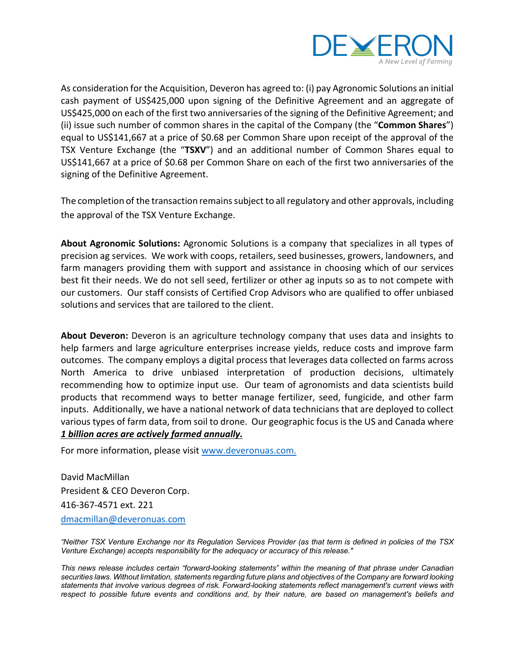

As consideration for the Acquisition, Deveron has agreed to: (i) pay Agronomic Solutions an initial cash payment of US\$425,000 upon signing of the Definitive Agreement and an aggregate of US\$425,000 on each of the first two anniversaries of the signing of the Definitive Agreement; and (ii) issue such number of common shares in the capital of the Company (the "**Common Shares**") equal to US\$141,667 at a price of \$0.68 per Common Share upon receipt of the approval of the TSX Venture Exchange (the "**TSXV**") and an additional number of Common Shares equal to US\$141,667 at a price of \$0.68 per Common Share on each of the first two anniversaries of the signing of the Definitive Agreement.

The completion of the transaction remains subject to all regulatory and other approvals, including the approval of the TSX Venture Exchange.

**About Agronomic Solutions:** Agronomic Solutions is a company that specializes in all types of precision ag services. We work with coops, retailers, seed businesses, growers, landowners, and farm managers providing them with support and assistance in choosing which of our services best fit their needs. We do not sell seed, fertilizer or other ag inputs so as to not compete with our customers. Our staff consists of Certified Crop Advisors who are qualified to offer unbiased solutions and services that are tailored to the client.

**About Deveron:** Deveron is an agriculture technology company that uses data and insights to help farmers and large agriculture enterprises increase yields, reduce costs and improve farm outcomes. The company employs a digital process that leverages data collected on farms across North America to drive unbiased interpretation of production decisions, ultimately recommending how to optimize input use. Our team of agronomists and data scientists build products that recommend ways to better manage fertilizer, seed, fungicide, and other farm inputs. Additionally, we have a national network of data technicians that are deployed to collect various types of farm data, from soil to drone. Our geographic focus is the US and Canada where *1 billion acres are actively farmed annually.*

For more information, please visit www.deveronuas.com.

David MacMillan President & CEO Deveron Corp. 416-367-4571 ext. 221 dmacmillan@deveronuas.com

"Neither TSX Venture Exchange nor its Regulation Services Provider (as that term is defined in policies of the TSX *Venture Exchange) accepts responsibility for the adequacy or accuracy of this release."*

*This news release includes certain "forward-looking statements" within the meaning of that phrase under Canadian* securities laws. Without limitation, statements regarding future plans and objectives of the Company are forward looking *statements that involve various degrees of risk. Forward-looking statements reflect management's current views with* respect to possible future events and conditions and, by their nature, are based on management's beliefs and